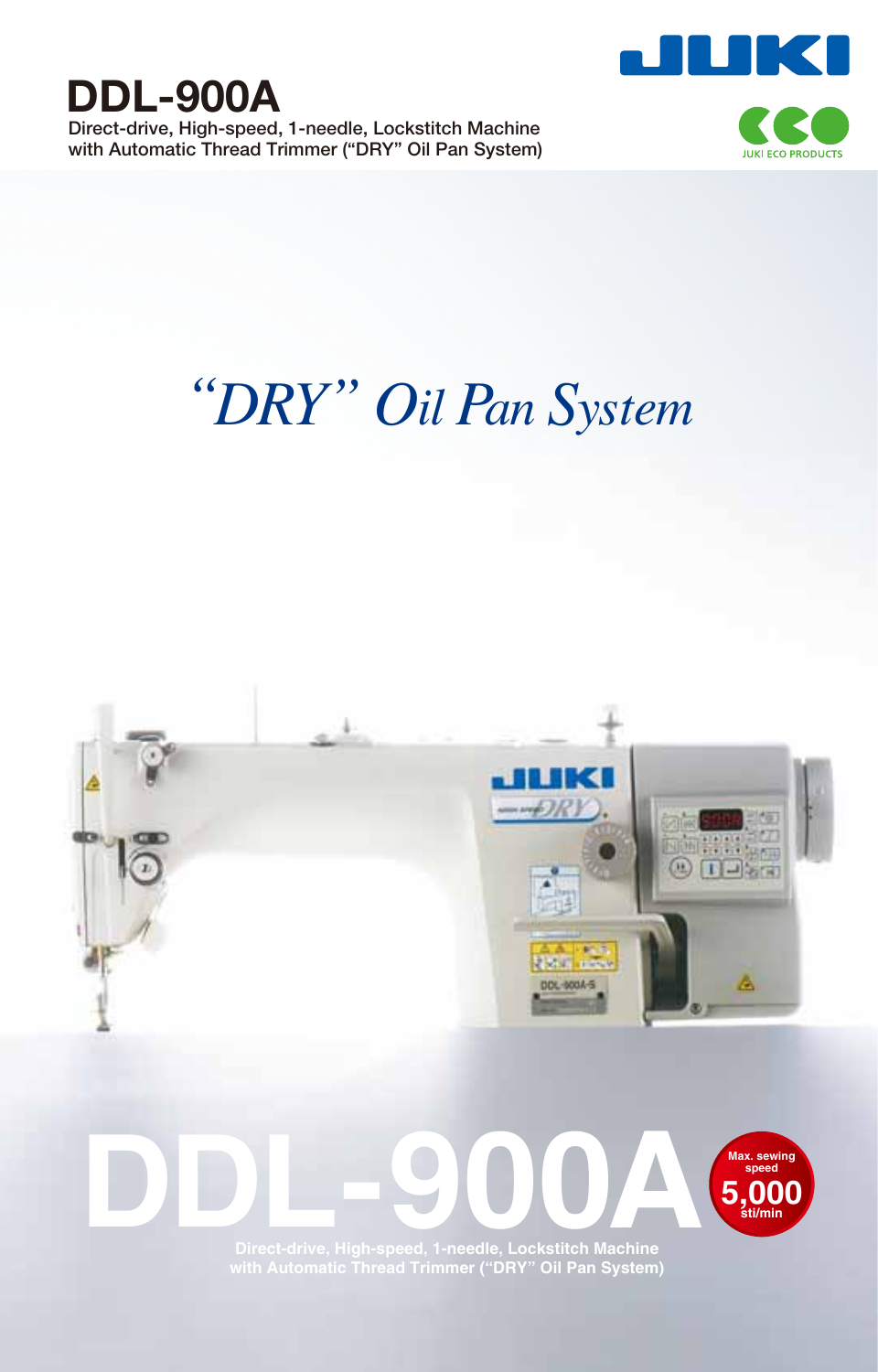

**Direct-drive, High-speed, 1-needle, Lockstitch Machine with Automatic Thread Trimmer ("DRY" Oil Pan System)**



# *"DRY" Oil Pan System*

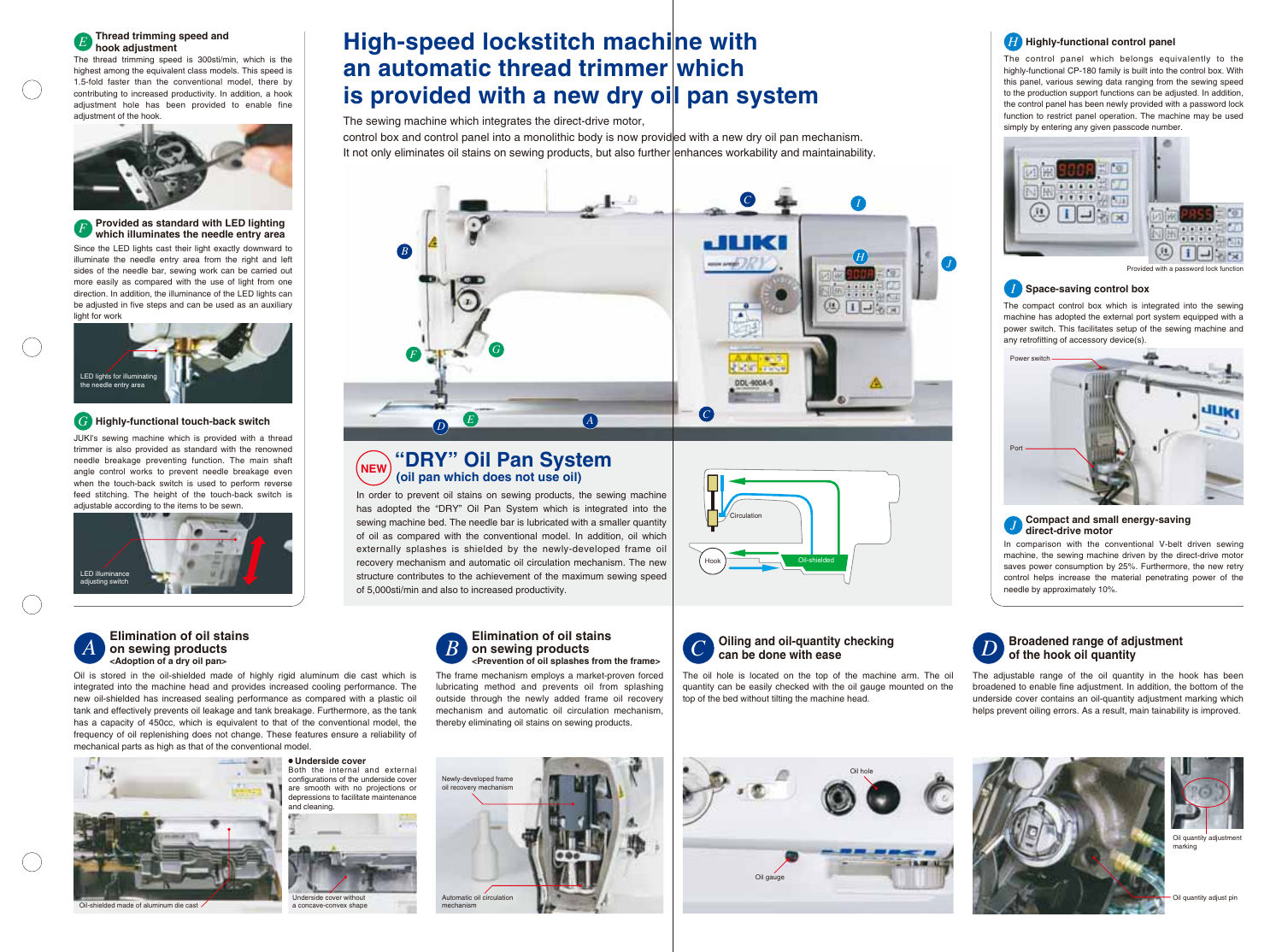# **E** Thread trimming speed and **Example 20 High-speed lockstitch machine with** the state of the Highly-functional control panel **an automatic thread trimmer which is provided with a new dry oil pan system**

control box and control panel into a monolithic body is now provided with a new dry oil pan mechanism. It not only eliminates oil stains on sewing products, but also further enhances workability and maintainability.

The sewing machine which integrates the direct-drive motor,

In order to prevent oil stains on sewing products, the sewing machine has adopted the "DRY" Oil Pan System which is integrated into the sewing machine bed. The needle bar is lubricated with a smaller quantity of oil as compared with the conventional model. In addition, oil which externally splashes is shielded by the newly-developed frame oil recovery mechanism and automatic oil circulation mechanism. The new structure contributes to the achievement of the maximum sewing speed of 5,000sti/min and also to increased productivity.

### **Thread trimming speed and**  *hook adjustment*

The thread trimming speed is 300sti/min, which is the highest among the equivalent class models. This speed is 1.5-fold faster than the conventional model, there by contributing to increased productivity. In addition, a hook adjustment hole has been provided to enable fine adiustment of the hook.



**<Prevention of oil splashes from the frame>** The frame mechanism employs a market-proven forced lubricating method and prevents oil from splashing outside through the newly added frame oil recovery mechanism and automatic oil circulation mechanism, thereby eliminating oil stains on sewing products.

Since the LED lights cast their light exactly downward to illuminate the needle entry area from the right and left sides of the needle bar, sewing work can be carried out more easily as compared with the use of light from one direction. In addition, the illuminance of the LED lights can be adjusted in five steps and can be used as an auxiliary light for work

JUKI's sewing machine which is provided with a thread trimmer is also provided as standard with the renowned needle breakage preventing function. The main shaft angle control works to prevent needle breakage even when the touch-back switch is used to perform reverse feed stitching. The height of the touch-back switch is adjustable according to the items to be sewn.

Oil is stored in the oil-shielded made of highly rigid aluminum die cast which is integrated into the machine head and provides increased cooling performance. The new oil-shielded has increased sealing performance as compared with a plastic oil tank and effectively prevents oil leakage and tank breakage. Furthermore, as the tank has a capacity of 450cc, which is equivalent to that of the conventional model, the frequency of oil replenishing does not change. These features ensure a reliability of mechanical parts as high as that of the conventional model.



#### **"DRY" Oil Pan System (oil pan which does not use oil) NEW**

**Elimination of oil stains on sewing products** 

#### **Provided as standard with LED lighting which illuminates the needle entry area** *F*

**Oiling and oil-quantity checking** 

**can be done with ease**

## **Highly-functional touch-back switch** *G*

# **Elimination of oil stains on sewing products**<br><Adoption of a dry oil pan> *A B C D*

The oil hole is located on the top of the machine arm. The oil quantity can be easily checked with the oil gauge mounted on the

top of the bed without tilting the machine head.



#### **Broadened range of adjustment of the hook oil quantity**

The adjustable range of the oil quantity in the hook has been broadened to enable fine adjustment. In addition, the bottom of the underside cover contains an oil-quantity adjustment marking which helps prevent oiling errors. As a result, main tainability is improved.





Provided with a password lock function



Underside cover without a concave-convex shape







Oil quantity adjustment marking

Oil quantity adjust pir







#### **Compact and small energy-saving direct-drive motor**

![](_page_1_Picture_20.jpeg)

The control panel which belongs equivalently to the highly-functional CP-180 family is built into the control box. With this panel, various sewing data ranging from the sewing speed to the production support functions can be adjusted. In addition, the control panel has been newly provided with a password lock function to restrict panel operation. The machine may be used simply by entering any given passcode number.

![](_page_1_Picture_22.jpeg)

#### **Space-saving control box** *I*

The compact control box which is integrated into the sewing machine has adopted the external port system equipped with a power switch. This facilitates setup of the sewing machine and any retrofitting of accessory device(s).

In comparison with the conventional V-belt driven sewing machine, the sewing machine driven by the direct-drive motor saves power consumption by 25%. Furthermore, the new retry control helps increase the material penetrating power of the needle by approximately 10%.

*J*

#### **Highly-functional control panel**

mechanism

![](_page_1_Picture_15.jpeg)